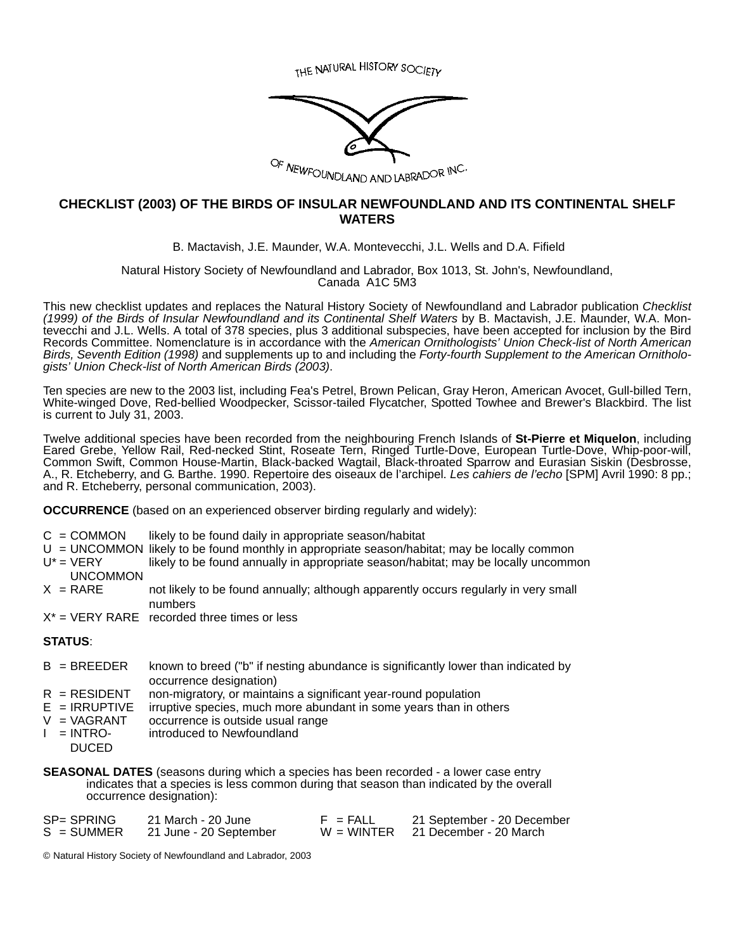THE NATURAL HISTORY SOCIETY



### **CHECKLIST (2003) OF THE BIRDS OF INSULAR NEWFOUNDLAND AND ITS CONTINENTAL SHELF WATERS**

B. Mactavish, J.E. Maunder, W.A. Montevecchi, J.L. Wells and D.A. Fifield

Natural History Society of Newfoundland and Labrador, Box 1013, St. John's, Newfoundland, Canada A1C 5M3

This new checklist updates and replaces the Natural History Society of Newfoundland and Labrador publication *Checklist (1999) of the Birds of Insular Newfoundland and its Continental Shelf Waters* by B. Mactavish, J.E. Maunder, W.A. Montevecchi and J.L. Wells. A total of 378 species, plus 3 additional subspecies, have been accepted for inclusion by the Bird Records Committee. Nomenclature is in accordance with the *American Ornithologists' Union Check-list of North American Birds, Seventh Edition (1998)* and supplements up to and including the *Forty-fourth Supplement to the American Ornithologists' Union Check-list of North American Birds (2003)*.

Ten species are new to the 2003 list, including Fea's Petrel, Brown Pelican, Gray Heron, American Avocet, Gull-billed Tern, White-winged Dove, Red-bellied Woodpecker, Scissor-tailed Flycatcher, Spotted Towhee and Brewer's Blackbird. The list is current to July 31, 2003.

Twelve additional species have been recorded from the neighbouring French Islands of **St-Pierre et Miquelon**, including Eared Grebe, Yellow Rail, Red-necked Stint, Roseate Tern, Ringed Turtle-Dove, European Turtle-Dove, Whip-poor-will, Common Swift, Common House-Martin, Black-backed Wagtail, Black-throated Sparrow and Eurasian Siskin (Desbrosse, A., R. Etcheberry, and G. Barthe. 1990. Repertoire des oiseaux de l'archipel. *Les cahiers de l'echo* [SPM] Avril 1990: 8 pp.; and R. Etcheberry, personal communication, 2003).

**OCCURRENCE** (based on an experienced observer birding regularly and widely):

- $C =$  COMMON likely to be found daily in appropriate season/habitat
- $U = UNCOMMON$  likely to be found monthly in appropriate season/habitat; may be locally common
- $U^*$  = VERY likely to be found annually in appropriate season/habitat; may be locally uncommon
- UNCOMMON<br>X = RARE not likely to be found annually; although apparently occurs regularly in very small numbers
- $X^*$  = VERY RARE recorded three times or less

#### **STATUS**:

- B = BREEDER known to breed ("b" if nesting abundance is significantly lower than indicated by occurrence designation)
- $R = RESIDENT$  non-migratory, or maintains a significant year-round population
- $E = IRRUPTIVE$  irruptive species, much more abundant in some years than in others
- $V = VAGRANT$  occurrence is outside usual range
- $I = INTRO$ introduced to Newfoundland
	- DUCED

**SEASONAL DATES** (seasons during which a species has been recorded - a lower case entry indicates that a species is less common during that season than indicated by the overall occurrence designation):

| SP= SPRING   | 21 March - 20 June     | $F = FALL$ | 21 September - 20 December          |
|--------------|------------------------|------------|-------------------------------------|
| $S = SUMMER$ | 21 June - 20 September |            | $W = WINTER$ 21 December - 20 March |

© Natural History Society of Newfoundland and Labrador, 2003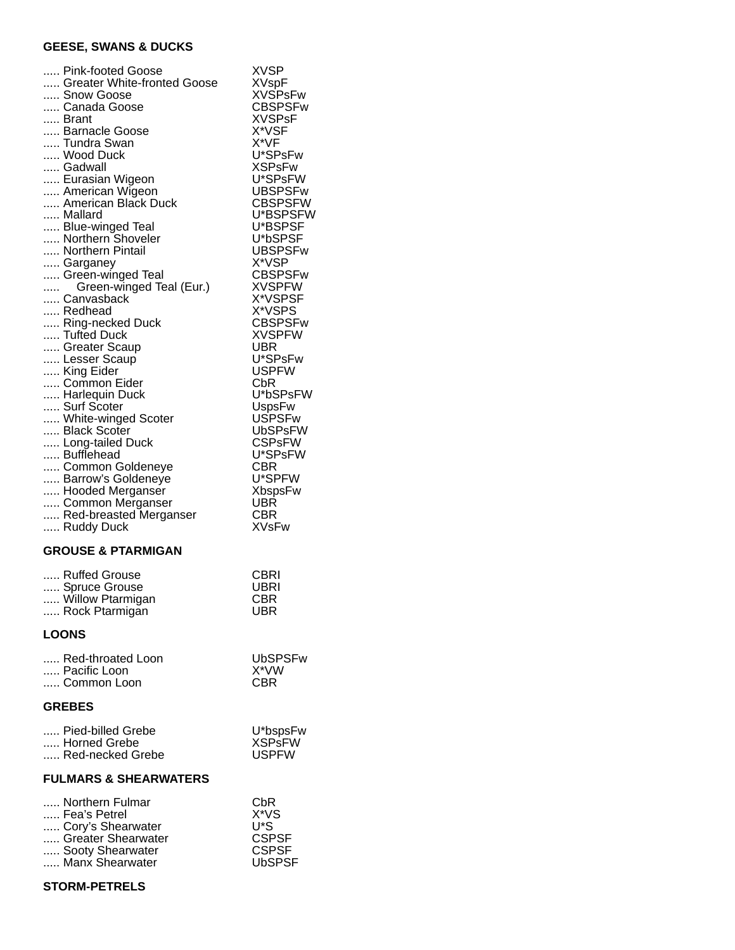# **GEESE, SWANS & DUCKS**

| Pink-footed Goose<br>Greater White-fronted Goose<br>Snow Goose<br>Canada Goose<br>Brant<br>Barnacle Goose<br>Tundra Swan<br>Wood Duck<br>Gadwall<br>Eurasian Wigeon<br>American Wigeon<br>American Black Duck<br>Mallard<br>Blue-winged Teal<br>Northern Shoveler<br>Northern Pintail<br>Garganey<br>Green-winged Teal<br>Green-winged Teal (Eur.)<br>Canvasback<br>Redhead<br>Ring-necked Duck<br>Tufted Duck<br>Greater Scaup<br>Lesser Scaup<br>King Eider<br>Common Eider<br>Harlequin Duck<br>Surf Scoter<br>White-winged Scoter<br>Black Scoter<br>Long-tailed Duck<br>Bufflehead<br>Common Goldeneye<br>Barrow's Goldeneye<br>Hooded Merganser | XVSP<br><b>XVspF</b><br><b>XVSPsFw</b><br><b>CBSPSFw</b><br><b>XVSPsF</b><br>X*VSF<br>X*VF<br>U*SPsFw<br><b>XSPsFw</b><br>U*SPsFW<br><b>UBSPSFw</b><br><b>CBSPSFW</b><br>U*BSPSFW<br>U*BSPSF<br>U*bSPSF<br><b>UBSPSFw</b><br>X*VSP<br><b>CBSPSFw</b><br><b>XVSPFW</b><br>X*VSPSF<br>X*VSPS<br><b>CBSPSFw</b><br><b>XVSPFW</b><br>UBR<br>U*SPsFw<br><b>USPFW</b><br>CbR<br>U*bSPsFW<br><b>UspsFw</b><br><b>USPSFw</b><br>UbSPsFW<br><b>CSPsFW</b><br>U*SPsFW<br>CBR<br>U*SPFW<br><b>XbspsFw</b><br><b>UBR</b> |
|-------------------------------------------------------------------------------------------------------------------------------------------------------------------------------------------------------------------------------------------------------------------------------------------------------------------------------------------------------------------------------------------------------------------------------------------------------------------------------------------------------------------------------------------------------------------------------------------------------------------------------------------------------|--------------------------------------------------------------------------------------------------------------------------------------------------------------------------------------------------------------------------------------------------------------------------------------------------------------------------------------------------------------------------------------------------------------------------------------------------------------------------------------------------------------|
| Common Merganser<br>Red-breasted Merganser<br>Ruddy Duck                                                                                                                                                                                                                                                                                                                                                                                                                                                                                                                                                                                              | CBR<br><b>XVsFw</b>                                                                                                                                                                                                                                                                                                                                                                                                                                                                                          |
| <b>GROUSE &amp; PTARMIGAN</b>                                                                                                                                                                                                                                                                                                                                                                                                                                                                                                                                                                                                                         |                                                                                                                                                                                                                                                                                                                                                                                                                                                                                                              |
| Ruffed Grouse<br>Spruce Grouse<br>Willow Ptarmigan<br>Rock Ptarmigan                                                                                                                                                                                                                                                                                                                                                                                                                                                                                                                                                                                  | <b>CBRI</b><br>UBRI<br>CBR<br><b>UBR</b>                                                                                                                                                                                                                                                                                                                                                                                                                                                                     |
| <b>LOONS</b>                                                                                                                                                                                                                                                                                                                                                                                                                                                                                                                                                                                                                                          |                                                                                                                                                                                                                                                                                                                                                                                                                                                                                                              |
| Red-throated Loon<br>Pacific Loon<br>Common Loon                                                                                                                                                                                                                                                                                                                                                                                                                                                                                                                                                                                                      | UbSPSFw<br>X*VW<br>CBR                                                                                                                                                                                                                                                                                                                                                                                                                                                                                       |
| <b>GREBES</b>                                                                                                                                                                                                                                                                                                                                                                                                                                                                                                                                                                                                                                         |                                                                                                                                                                                                                                                                                                                                                                                                                                                                                                              |
| Pied-billed Grebe                                                                                                                                                                                                                                                                                                                                                                                                                                                                                                                                                                                                                                     | U*bspsFw                                                                                                                                                                                                                                                                                                                                                                                                                                                                                                     |

| … Pied-billed Grebe | U^bspsFw     |
|---------------------|--------------|
| Horned Grebe        | XSPsFW       |
| Red-necked Grebe    | <b>USPFW</b> |
|                     |              |

### **FULMARS & SHEARWATERS**

| Northern Fulmar    | CbR           |
|--------------------|---------------|
| Fea's Petrel       | $X^*VS$       |
| Cory's Shearwater  | U*S           |
| Greater Shearwater | <b>CSPSF</b>  |
| Sooty Shearwater   | <b>CSPSF</b>  |
| Manx Shearwater    | <b>UbSPSF</b> |
|                    |               |

# **STORM-PETRELS**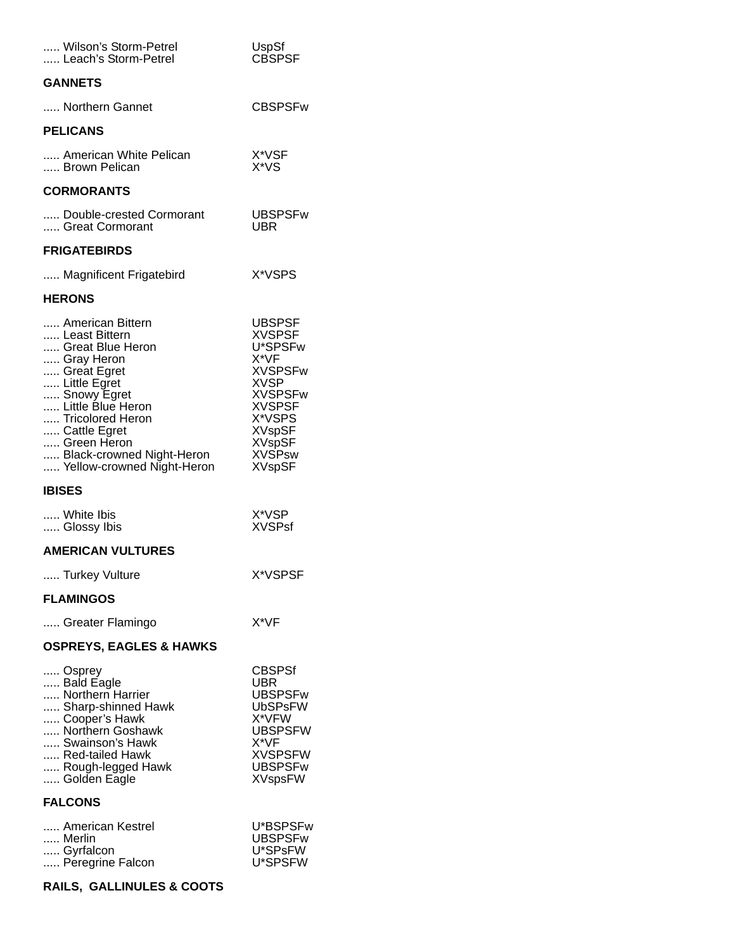| Wilson's Storm-Petrel<br>Leach's Storm-Petrel                                                                                                                                                                                                        | UspSf<br><b>CBSPSF</b>                                                                                                                                                                              |
|------------------------------------------------------------------------------------------------------------------------------------------------------------------------------------------------------------------------------------------------------|-----------------------------------------------------------------------------------------------------------------------------------------------------------------------------------------------------|
| <b>GANNETS</b>                                                                                                                                                                                                                                       |                                                                                                                                                                                                     |
| Northern Gannet                                                                                                                                                                                                                                      | <b>CBSPSFw</b>                                                                                                                                                                                      |
| <b>PELICANS</b>                                                                                                                                                                                                                                      |                                                                                                                                                                                                     |
| American White Pelican<br>Brown Pelican                                                                                                                                                                                                              | X*VSF<br>X*VS                                                                                                                                                                                       |
| <b>CORMORANTS</b>                                                                                                                                                                                                                                    |                                                                                                                                                                                                     |
| Double-crested Cormorant<br>Great Cormorant                                                                                                                                                                                                          | UBSPSFw<br>UBR                                                                                                                                                                                      |
| <b>FRIGATEBIRDS</b>                                                                                                                                                                                                                                  |                                                                                                                                                                                                     |
| Magnificent Frigatebird                                                                                                                                                                                                                              | X*VSPS                                                                                                                                                                                              |
| <b>HERONS</b>                                                                                                                                                                                                                                        |                                                                                                                                                                                                     |
| American Bittern<br>Least Bittern<br>Great Blue Heron<br>Gray Heron<br>Great Egret<br>Little Egret<br>Snowy Egret<br>Little Blue Heron<br>Tricolored Heron<br>Cattle Egret<br>Green Heron<br>Black-crowned Night-Heron<br>Yellow-crowned Night-Heron | <b>UBSPSF</b><br><b>XVSPSF</b><br>U*SPSFw<br>X*VF<br><b>XVSPSFw</b><br><b>XVSP</b><br><b>XVSPSFw</b><br><b>XVSPSF</b><br>X*VSPS<br><b>XVspSF</b><br><b>XVspSF</b><br><b>XVSPsw</b><br><b>XVspSF</b> |
| <b>IBISES</b>                                                                                                                                                                                                                                        |                                                                                                                                                                                                     |
| White Ibis<br>Glossy Ibis                                                                                                                                                                                                                            | X*VSP<br><b>XVSPsf</b>                                                                                                                                                                              |
| <b>AMERICAN VULTURES</b>                                                                                                                                                                                                                             |                                                                                                                                                                                                     |
| Turkey Vulture                                                                                                                                                                                                                                       | X*VSPSF                                                                                                                                                                                             |
| <b>FLAMINGOS</b>                                                                                                                                                                                                                                     |                                                                                                                                                                                                     |
| Greater Flamingo                                                                                                                                                                                                                                     | X*VF                                                                                                                                                                                                |
| <b>OSPREYS, EAGLES &amp; HAWKS</b>                                                                                                                                                                                                                   |                                                                                                                                                                                                     |
| Osprey<br>Bald Eagle<br>Northern Harrier<br>Sharp-shinned Hawk<br>Cooper's Hawk<br>Northern Goshawk<br>Swainson's Hawk<br>Red-tailed Hawk<br>Rough-legged Hawk<br>Golden Eagle                                                                       | CBSPSf<br>UBR<br><b>UBSPSFw</b><br><b>UbSPsFW</b><br>X*VFW<br><b>UBSPSFW</b><br>X*VF<br><b>XVSPSFW</b><br><b>UBSPSFw</b><br><b>XVspsFW</b>                                                          |
| <b>FALCONS</b>                                                                                                                                                                                                                                       |                                                                                                                                                                                                     |
| American Kestrel<br>Merlin<br>Gyrfalcon<br>Peregrine Falcon                                                                                                                                                                                          | U*BSPSFw<br><b>UBSPSFw</b><br>U*SPsFW<br>U*SPSFW                                                                                                                                                    |

# **RAILS, GALLINULES & COOTS**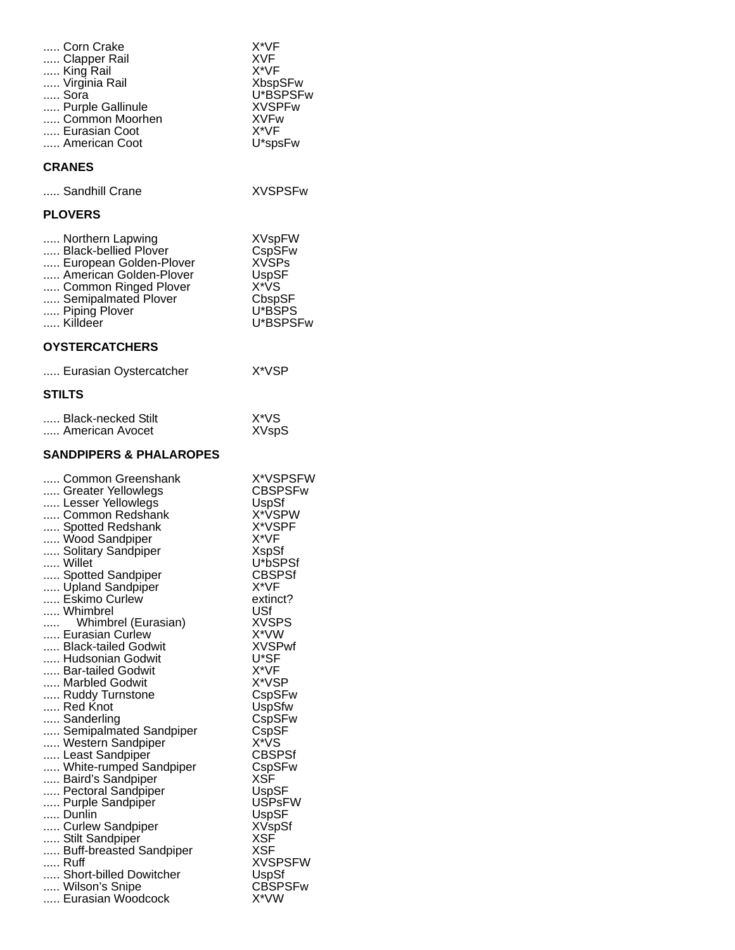| Corn Crake<br>X*VF<br>Clapper Rail<br>XVF<br>X*VF<br>King Rail<br>Virginia Rail<br><b>XbspSFw</b><br>U*BSPSFw<br>Sora<br>Purple Gallinule<br>XVSPFw                                                                                                                                                                                                                                                                                                                                                                                                                                                                                                                                                                                                                                                                                                                                                                                                                                                                                 |  |
|-------------------------------------------------------------------------------------------------------------------------------------------------------------------------------------------------------------------------------------------------------------------------------------------------------------------------------------------------------------------------------------------------------------------------------------------------------------------------------------------------------------------------------------------------------------------------------------------------------------------------------------------------------------------------------------------------------------------------------------------------------------------------------------------------------------------------------------------------------------------------------------------------------------------------------------------------------------------------------------------------------------------------------------|--|
| Common Moorhen<br><b>XVFw</b><br>X*VF<br>Eurasian Coot<br>American Coot<br>U*spsFw                                                                                                                                                                                                                                                                                                                                                                                                                                                                                                                                                                                                                                                                                                                                                                                                                                                                                                                                                  |  |
| <b>CRANES</b>                                                                                                                                                                                                                                                                                                                                                                                                                                                                                                                                                                                                                                                                                                                                                                                                                                                                                                                                                                                                                       |  |
| Sandhill Crane<br><b>XVSPSFw</b>                                                                                                                                                                                                                                                                                                                                                                                                                                                                                                                                                                                                                                                                                                                                                                                                                                                                                                                                                                                                    |  |
| <b>PLOVERS</b>                                                                                                                                                                                                                                                                                                                                                                                                                                                                                                                                                                                                                                                                                                                                                                                                                                                                                                                                                                                                                      |  |
| Northern Lapwing<br><b>XVspFW</b><br>CspSFw<br>Black-bellied Plover<br><b>XVSPs</b><br>European Golden-Plover<br>American Golden-Plover<br>UspSF<br>X*VS<br>Common Ringed Plover<br>Semipalmated Plover<br>CbspSF<br>Piping Plover<br>U*BSPS<br>Killdeer<br>U*BSPSFw                                                                                                                                                                                                                                                                                                                                                                                                                                                                                                                                                                                                                                                                                                                                                                |  |
| <b>OYSTERCATCHERS</b>                                                                                                                                                                                                                                                                                                                                                                                                                                                                                                                                                                                                                                                                                                                                                                                                                                                                                                                                                                                                               |  |
| X*VSP<br>Eurasian Oystercatcher                                                                                                                                                                                                                                                                                                                                                                                                                                                                                                                                                                                                                                                                                                                                                                                                                                                                                                                                                                                                     |  |
| <b>STILTS</b>                                                                                                                                                                                                                                                                                                                                                                                                                                                                                                                                                                                                                                                                                                                                                                                                                                                                                                                                                                                                                       |  |
| X*VS<br>Black-necked Stilt<br>American Avocet<br><b>XVspS</b>                                                                                                                                                                                                                                                                                                                                                                                                                                                                                                                                                                                                                                                                                                                                                                                                                                                                                                                                                                       |  |
| <b>SANDPIPERS &amp; PHALAROPES</b>                                                                                                                                                                                                                                                                                                                                                                                                                                                                                                                                                                                                                                                                                                                                                                                                                                                                                                                                                                                                  |  |
| X*VSPSFW<br>Common Greenshank<br>CBSPSFw<br>Greater Yellowlegs<br>Lesser Yellowlegs<br>UspSf<br>X*VSPW<br>Common Redshank<br>X*VSPF<br>Spotted Redshank<br>Wood Sandpiper<br>X*VF<br>Solitary Sandpiper<br>XspSf<br>U*bSPSf<br>Willet<br>Spotted Sandpiper<br>CBSPSf<br>Upland Sandpiper<br>X*VF<br>Eskimo Curlew<br>extinct?<br>Whimbrel<br>USf<br><b>XVSPS</b><br>Whimbrel (Eurasian)<br>aaa c<br>X*VW<br>Eurasian Curlew<br><b>XVSPwf</b><br>Black-tailed Godwit<br>U*SF<br>Hudsonian Godwit<br>X*VF<br>Bar-tailed Godwit<br>Marbled Godwit<br>X*VSP<br>Ruddy Turnstone<br>CspSFw<br>Red Knot<br><b>UspSfw</b><br>Sanderling<br>CspSFw<br>Semipalmated Sandpiper<br>$\mathsf{CspSF}$<br>X*ÝS<br>Western Sandpiper<br><b>CBSPSf</b><br>Least Sandpiper<br>White-rumped Sandpiper<br>CspSFw<br>XSF<br>Baird's Sandpiper<br>Pectoral Sandpiper<br>UspSF<br><b>USPsFW</b><br>Purple Sandpiper<br>Dunlin<br>UspSF<br><b>XVspSf</b><br>Curlew Sandpiper<br>XSF<br>Stilt Sandpiper<br>Buff-breasted Sandpiper<br>XSF<br>Ruff<br>XVSPSFW |  |

..... Short-billed Dowitcher **East UspSf** ..... Wilson's Snipe CBSPSFw ..... Eurasian Woodcock X\*VW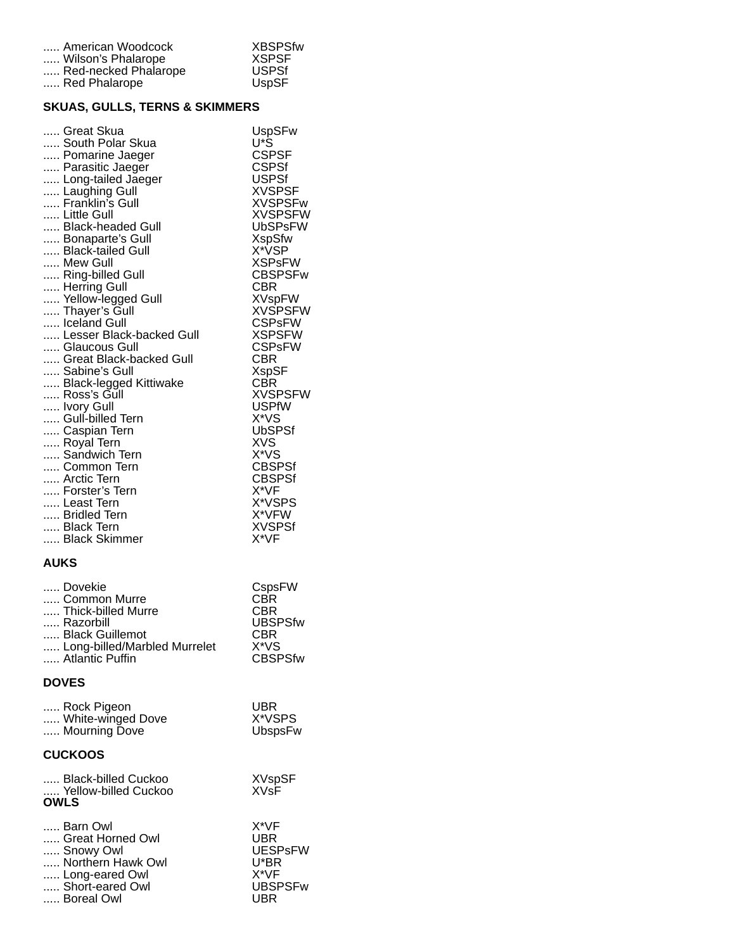| American Woodcock    | <b>XBSPSfw</b> |
|----------------------|----------------|
| Wilson's Phalarope   | <b>XSPSF</b>   |
| Red-necked Phalarope | <b>USPSf</b>   |
| Red Phalarope        | <b>UspSF</b>   |

## **SKUAS, GULLS, TERNS & SKIMMERS**

#### **AUKS**

| Dovekie                      | CspsFW         |
|------------------------------|----------------|
| Common Murre                 | CBR            |
| Thick-billed Murre           | CBR            |
| Razorbill                    | <b>UBSPSfw</b> |
| Black Guillemot              | <b>CBR</b>     |
| Long-billed/Marbled Murrelet | X*VS           |
| Atlantic Puffin              | <b>CBSPSfw</b> |

# **DOVES**

| Rock Pigeon       | <b>UBR</b> |
|-------------------|------------|
| White-winged Dove | X*VSPS     |
| Mourning Dove     | UbspsFw    |

### **CUCKOOS**

| Black-billed Cuckoo<br>Yellow-billed Cuckoo<br><b>OWLS</b> | <b>XVspSF</b><br><b>XVsF</b> |
|------------------------------------------------------------|------------------------------|
| Barn Owl                                                   | $X^*VF$                      |
| Great Horned Owl                                           | UBR                          |
| Snowy Owl                                                  | <b>UESPsFW</b>               |
| Northern Hawk Owl                                          | U*BR                         |
| Long-eared Owl                                             | $X^*VF$                      |
| Short-eared Owl                                            | <b>UBSPSFw</b>               |
| Boreal Owl                                                 | l IRR                        |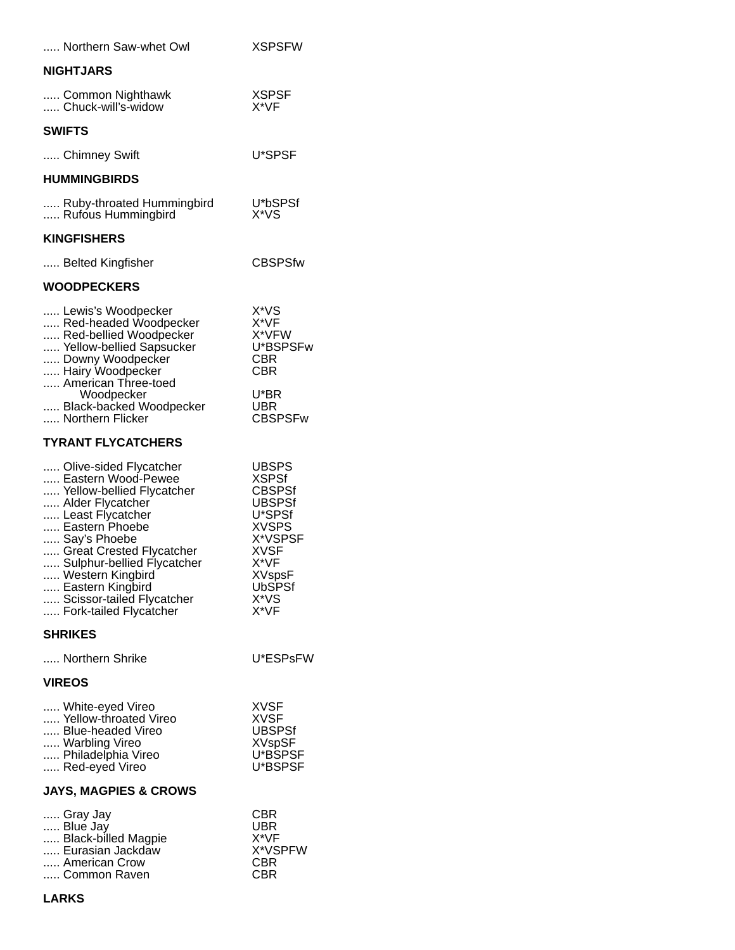| Northern Saw-whet Owl                                                                                                                                                                                                                                                                                        | <b>XSPSFW</b>                                                                                                                                                                |  |  |
|--------------------------------------------------------------------------------------------------------------------------------------------------------------------------------------------------------------------------------------------------------------------------------------------------------------|------------------------------------------------------------------------------------------------------------------------------------------------------------------------------|--|--|
| <b>NIGHTJARS</b>                                                                                                                                                                                                                                                                                             |                                                                                                                                                                              |  |  |
| Common Nighthawk<br>Chuck-will's-widow                                                                                                                                                                                                                                                                       | <b>XSPSF</b><br>X*VF                                                                                                                                                         |  |  |
| <b>SWIFTS</b>                                                                                                                                                                                                                                                                                                |                                                                                                                                                                              |  |  |
| Chimney Swift                                                                                                                                                                                                                                                                                                | U*SPSF                                                                                                                                                                       |  |  |
| <b>HUMMINGBIRDS</b>                                                                                                                                                                                                                                                                                          |                                                                                                                                                                              |  |  |
| Ruby-throated Hummingbird<br>Rufous Hummingbird                                                                                                                                                                                                                                                              | U*bSPSf<br>X*VS                                                                                                                                                              |  |  |
| <b>KINGFISHERS</b>                                                                                                                                                                                                                                                                                           |                                                                                                                                                                              |  |  |
| Belted Kingfisher                                                                                                                                                                                                                                                                                            | <b>CBSPSfw</b>                                                                                                                                                               |  |  |
| <b>WOODPECKERS</b>                                                                                                                                                                                                                                                                                           |                                                                                                                                                                              |  |  |
| Lewis's Woodpecker<br>Red-headed Woodpecker<br>Red-bellied Woodpecker<br>Yellow-bellied Sapsucker<br>Downy Woodpecker<br>Hairy Woodpecker<br>American Three-toed<br>Woodpecker<br>Black-backed Woodpecker<br>Northern Flicker                                                                                | X*VS<br>X*VF<br>X*VFW<br>U*BSPSFw<br>CBR<br><b>CBR</b><br>U*BR<br>UBR<br><b>CBSPSFw</b>                                                                                      |  |  |
| <b>TYRANT FLYCATCHERS</b>                                                                                                                                                                                                                                                                                    |                                                                                                                                                                              |  |  |
| Olive-sided Flycatcher<br>Eastern Wood-Pewee<br>Yellow-bellied Flycatcher<br>Alder Flycatcher<br>Least Flycatcher<br>Eastern Phoebe<br>Say's Phoebe<br>Great Crested Flycatcher<br>Sulphur-bellied Flycatcher<br>Western Kingbird<br>Eastern Kingbird<br>Scissor-tailed Flycatcher<br>Fork-tailed Flycatcher | <b>UBSPS</b><br><b>XSPSf</b><br><b>CBSPSf</b><br><b>UBSPSf</b><br>U*SPSf<br><b>XVSPS</b><br>X*VSPSF<br><b>XVSF</b><br>X*VF<br><b>XVspsF</b><br><b>UbSPSf</b><br>X*VS<br>X*VF |  |  |
| <b>SHRIKES</b>                                                                                                                                                                                                                                                                                               |                                                                                                                                                                              |  |  |
| Northern Shrike                                                                                                                                                                                                                                                                                              | U*ESPsFW                                                                                                                                                                     |  |  |
| <b>VIREOS</b>                                                                                                                                                                                                                                                                                                |                                                                                                                                                                              |  |  |
| White-eyed Vireo<br>Yellow-throated Vireo<br>Blue-headed Vireo<br>Warbling Vireo<br>Philadelphia Vireo<br>Red-eyed Vireo                                                                                                                                                                                     | <b>XVSF</b><br>XVSF<br><b>UBSPSf</b><br><b>XVspSF</b><br>U*BSPSF<br>U*BSPSF                                                                                                  |  |  |
| <b>JAYS, MAGPIES &amp; CROWS</b>                                                                                                                                                                                                                                                                             |                                                                                                                                                                              |  |  |
| Gray Jay<br>Blue Jay<br>Black-billed Magpie<br>Eurasian Jackdaw<br>American Crow<br>Common Raven                                                                                                                                                                                                             | CBR<br>UBR<br>X*VF<br>X*VSPFW<br>CBR<br>CBR                                                                                                                                  |  |  |
| LARKS                                                                                                                                                                                                                                                                                                        |                                                                                                                                                                              |  |  |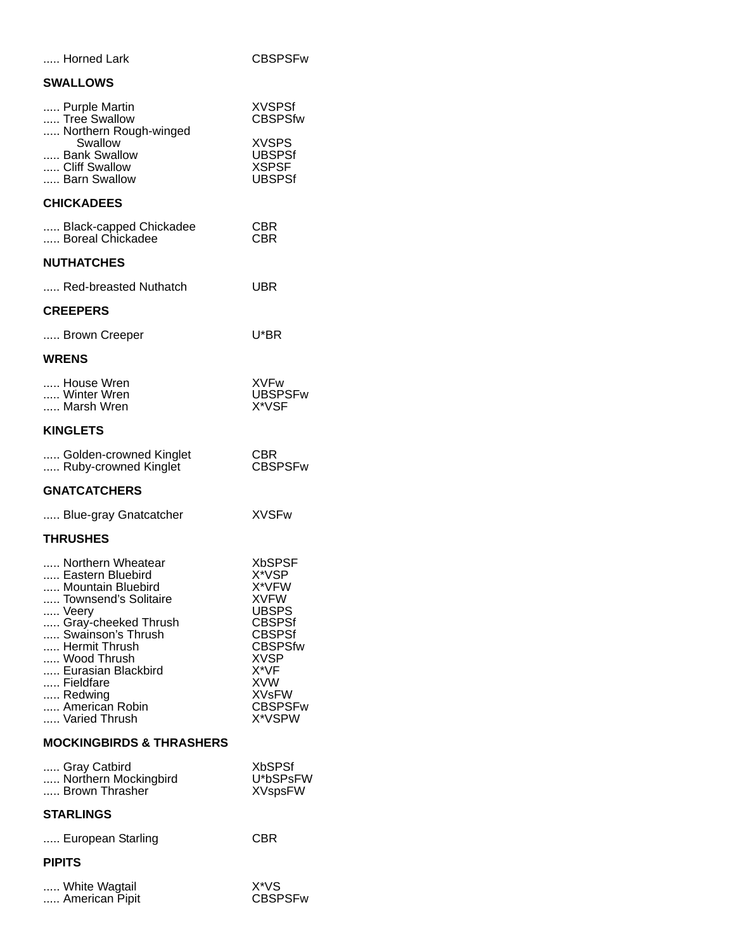| Horned Lark                                                                                                                                                                                                                                              | <b>CBSPSFw</b>                                                                                                                                                                                      |
|----------------------------------------------------------------------------------------------------------------------------------------------------------------------------------------------------------------------------------------------------------|-----------------------------------------------------------------------------------------------------------------------------------------------------------------------------------------------------|
| <b>SWALLOWS</b>                                                                                                                                                                                                                                          |                                                                                                                                                                                                     |
| Purple Martin<br>Tree Swallow<br>Northern Rough-winged                                                                                                                                                                                                   | <b>XVSPSf</b><br><b>CBSPSfw</b>                                                                                                                                                                     |
| Swallow<br>Bank Swallow<br>Cliff Swallow<br>Barn Swallow                                                                                                                                                                                                 | <b>XVSPS</b><br><b>UBSPSf</b><br><b>XSPSF</b><br><b>UBSPSf</b>                                                                                                                                      |
| <b>CHICKADEES</b>                                                                                                                                                                                                                                        |                                                                                                                                                                                                     |
| Black-capped Chickadee<br>Boreal Chickadee                                                                                                                                                                                                               | CBR<br>CBR                                                                                                                                                                                          |
| <b>NUTHATCHES</b>                                                                                                                                                                                                                                        |                                                                                                                                                                                                     |
| Red-breasted Nuthatch                                                                                                                                                                                                                                    | <b>UBR</b>                                                                                                                                                                                          |
| <b>CREEPERS</b>                                                                                                                                                                                                                                          |                                                                                                                                                                                                     |
| Brown Creeper                                                                                                                                                                                                                                            | U*BR                                                                                                                                                                                                |
| <b>WRENS</b>                                                                                                                                                                                                                                             |                                                                                                                                                                                                     |
| House Wren<br>Winter Wren<br>Marsh Wren                                                                                                                                                                                                                  | <b>XVFw</b><br><b>UBSPSFw</b><br>X*VSF                                                                                                                                                              |
| <b>KINGLETS</b>                                                                                                                                                                                                                                          |                                                                                                                                                                                                     |
| Golden-crowned Kinglet<br>Ruby-crowned Kinglet                                                                                                                                                                                                           | CBR.<br><b>CBSPSFw</b>                                                                                                                                                                              |
| <b>GNATCATCHERS</b>                                                                                                                                                                                                                                      |                                                                                                                                                                                                     |
| Blue-gray Gnatcatcher                                                                                                                                                                                                                                    | <b>XVSFw</b>                                                                                                                                                                                        |
| <b>THRUSHES</b>                                                                                                                                                                                                                                          |                                                                                                                                                                                                     |
| Northern Wheatear<br>Eastern Bluebird<br>Mountain Bluebird<br>Townsend's Solitaire<br>Veery<br>Gray-cheeked Thrush<br>Swainson's Thrush<br>Hermit Thrush<br>Wood Thrush<br>Eurasian Blackbird<br>Fieldfare<br>Redwing<br>American Robin<br>Varied Thrush | <b>XbSPSF</b><br>X*VSP<br>X*VFW<br><b>XVFW</b><br><b>UBSPS</b><br><b>CBSPSf</b><br><b>CBSPSf</b><br><b>CBSPSfw</b><br><b>XVSP</b><br>X*VF<br><b>XVW</b><br><b>XVsFW</b><br><b>CBSPSFw</b><br>X*VSPW |
| <b>MOCKINGBIRDS &amp; THRASHERS</b>                                                                                                                                                                                                                      |                                                                                                                                                                                                     |
| Gray Catbird<br>Northern Mockingbird<br>Brown Thrasher                                                                                                                                                                                                   | <b>XbSPSf</b><br>U*bSPsFW<br><b>XVspsFW</b>                                                                                                                                                         |
| <b>STARLINGS</b>                                                                                                                                                                                                                                         |                                                                                                                                                                                                     |
| European Starling                                                                                                                                                                                                                                        | CBR                                                                                                                                                                                                 |
| <b>PIPITS</b>                                                                                                                                                                                                                                            |                                                                                                                                                                                                     |
| White Wagtail<br>American Pipit                                                                                                                                                                                                                          | X*VS<br><b>CBSPSFw</b>                                                                                                                                                                              |
|                                                                                                                                                                                                                                                          |                                                                                                                                                                                                     |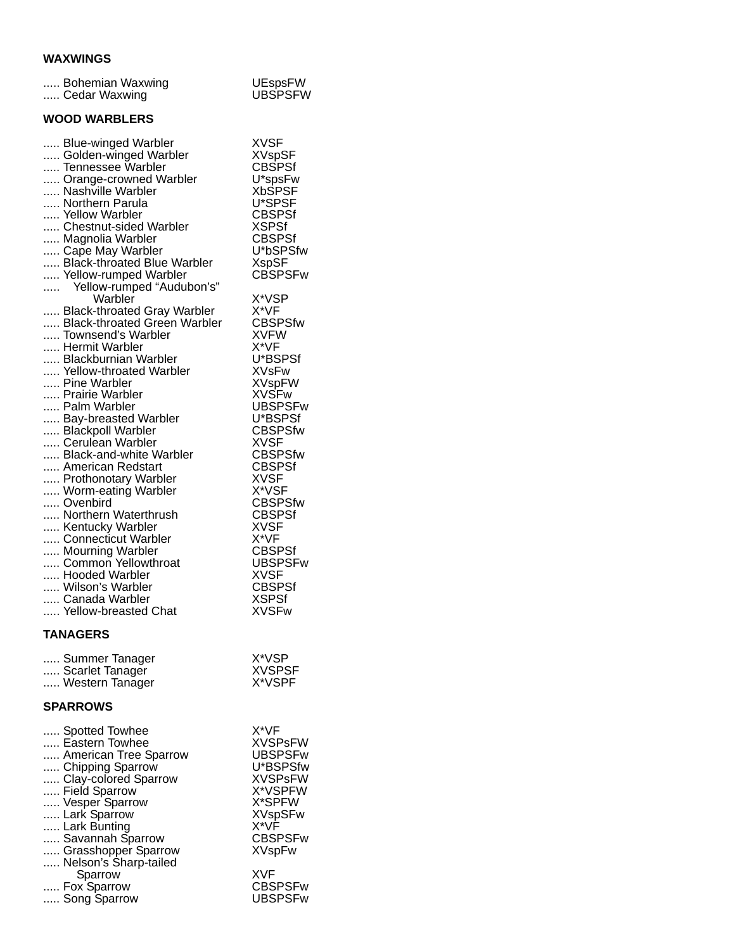# **WAXWINGS**

| <b>VYAAYYIIYOJ</b>                                                                                                                                                                                                                                                                                                                                                                                                                                                                                                                                                                                                                                                                                                                                                                                                                                                                                             |                                                                                                                                                                                                                                                                                                                                                                                                                                                                                                                           |
|----------------------------------------------------------------------------------------------------------------------------------------------------------------------------------------------------------------------------------------------------------------------------------------------------------------------------------------------------------------------------------------------------------------------------------------------------------------------------------------------------------------------------------------------------------------------------------------------------------------------------------------------------------------------------------------------------------------------------------------------------------------------------------------------------------------------------------------------------------------------------------------------------------------|---------------------------------------------------------------------------------------------------------------------------------------------------------------------------------------------------------------------------------------------------------------------------------------------------------------------------------------------------------------------------------------------------------------------------------------------------------------------------------------------------------------------------|
| Bohemian Waxwing<br>Cedar Waxwing                                                                                                                                                                                                                                                                                                                                                                                                                                                                                                                                                                                                                                                                                                                                                                                                                                                                              | <b>UEspsFW</b><br><b>UBSPSFW</b>                                                                                                                                                                                                                                                                                                                                                                                                                                                                                          |
| <b>WOOD WARBLERS</b>                                                                                                                                                                                                                                                                                                                                                                                                                                                                                                                                                                                                                                                                                                                                                                                                                                                                                           |                                                                                                                                                                                                                                                                                                                                                                                                                                                                                                                           |
| Blue-winged Warbler<br>Golden-winged Warbler<br>Tennessee Warbler<br>Orange-crowned Warbler<br>Nashville Warbler<br>Northern Parula<br>Yellow Warbler<br>Chestnut-sided Warbler<br>Magnolia Warbler<br>Cape May Warbler<br>Black-throated Blue Warbler<br>Yellow-rumped Warbler<br>Yellow-rumped "Audubon's"<br>Warbler<br>Black-throated Gray Warbler<br>Black-throated Green Warbler<br>Townsend's Warbler<br>Hermit Warbler<br>Blackburnian Warbler<br>Yellow-throated Warbler<br>Pine Warbler<br>Prairie Warbler<br>Palm Warbler<br>Bay-breasted Warbler<br>Blackpoll Warbler<br>Cerulean Warbler<br>Black-and-white Warbler<br>American Redstart<br>Prothonotary Warbler<br>Worm-eating Warbler<br>Ovenbird<br>Northern Waterthrush<br>Kentucky Warbler<br>Connecticut Warbler<br>Mourning Warbler<br>Common Yellowthroat<br>Hooded Warbler<br>Wilson's Warbler<br>Canada Warbler<br>Yellow-breasted Chat | <b>XVSF</b><br><b>XVspSF</b><br><b>CBSPSf</b><br>U*spsFw<br><b>XbSPSF</b><br>U*SPSF<br>CBSPSf<br>XSPSf<br>CBSPSf<br>U*bSPSfw<br>XspSF<br>CBSPSFw<br>X*VSP<br>X*VF<br><b>CBSPSfw</b><br><b>XVFW</b><br>X*VF<br>U*BSPSf<br>XVsFw<br><b>XVspFW</b><br><b>XVSFw</b><br><b>UBSPSFw</b><br>U*BSPSf<br><b>CBSPSfw</b><br><b>XVSF</b><br><b>CBSPSfw</b><br><b>CBSPSf</b><br><b>XVSF</b><br>X*VSF<br><b>CBSPSfw</b><br><b>CBSPSf</b><br>XVSF<br>X*VF<br>CBSPSf<br>UBSPSFw<br>XVSF<br><b>CBSPSf</b><br><b>XSPSf</b><br><b>XVSFw</b> |
|                                                                                                                                                                                                                                                                                                                                                                                                                                                                                                                                                                                                                                                                                                                                                                                                                                                                                                                |                                                                                                                                                                                                                                                                                                                                                                                                                                                                                                                           |

### **TANAGERS**

| Summer Tanager  | X*VSP         |
|-----------------|---------------|
| Scarlet Tanager | <b>XVSPSF</b> |
| Western Tanager | X*VSPF        |

### **SPARROWS**

| Spotted Towhee        | X*VF           |
|-----------------------|----------------|
| Eastern Towhee        | <b>XVSPsFW</b> |
| American Tree Sparrow | <b>UBSPSFw</b> |
| Chipping Sparrow      | U*BSPSfw       |
| Clay-colored Sparrow  | <b>XVSPsFW</b> |
| Field Sparrow         | X*VSPFW        |
| Vesper Sparrow        | X*SPFW         |
| Lark Sparrow          | <b>XVspSFw</b> |
| Lark Bunting          | $X^*VF$        |
| Savannah Sparrow      | <b>CBSPSFw</b> |
| Grasshopper Sparrow   | XVspFw         |
| Nelson's Sharp-tailed |                |
| Sparrow               | <b>XVF</b>     |
| Fox Sparrow           | <b>CBSPSFw</b> |
| Song Sparrow          | UBSPSFw        |
|                       |                |